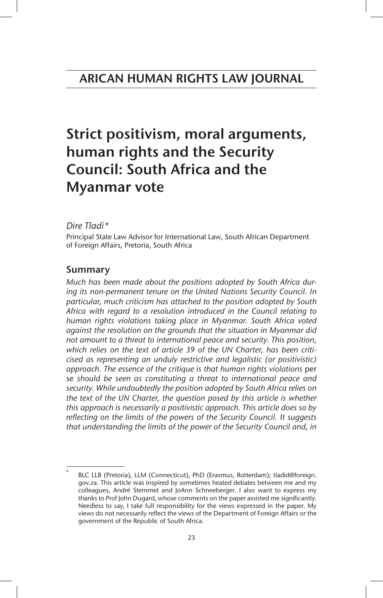# Strict positivism, moral arguments, human rights and the Security Council: South Africa and the Myanmar vote

## *Dire Tladi\**

Principal State Law Advisor for International Law, South African Department of Foreign Affairs, Pretoria, South Africa

## Summary

*Much has been made about the positions adopted by South Africa during its non-permanent tenure on the United Nations Security Council. In particular, much criticism has attached to the position adopted by South Africa with regard to a resolution introduced in the Council relating to human rights violations taking place in Myanmar. South Africa voted against the resolution on the grounds that the situation in Myanmar did not amount to a threat to international peace and security. This position, which relies on the text of article 39 of the UN Charter, has been criticised as representing an unduly restrictive and legalistic (or positivistic) approach. The essence of the critique is that human rights violations* per se *should be seen as constituting a threat to international peace and security. While undoubtedly the position adopted by South Africa relies on the text of the UN Charter, the question posed by this article is whether this approach is necessarily a positivistic approach. This article does so by reflecting on the limits of the powers of the Security Council. It suggests that understanding the limits of the power of the Security Council and, in*

BLC LLB (Pretoria), LLM (Connecticut), PhD (Erasmus, Rotterdam); tladid@foreign. gov.za. This article was inspired by sometimes heated debates between me and my colleagues, André Stemmet and JoAnn Schneeberger. I also want to express my thanks to Prof John Dugard, whose comments on the paper assisted me significantly. Needless to say, I take full responsibility for the views expressed in the paper. My views do not necessarily reflect the views of the Department of Foreign Affairs or the government of the Republic of South Africa.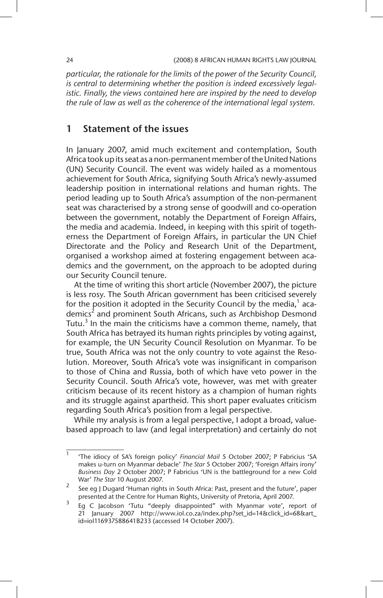*particular, the rationale for the limits of the power of the Security Council, is central to determining whether the position is indeed excessively legalistic. Finally, the views contained here are inspired by the need to develop the rule of law as well as the coherence of the international legal system.*

## 1 Statement of the issues

In January 2007, amid much excitement and contemplation, South Africa took up its seat as a non-permanent member of the United Nations (UN) Security Council. The event was widely hailed as a momentous achievement for South Africa, signifying South Africa's newly-assumed leadership position in international relations and human rights. The period leading up to South Africa's assumption of the non-permanent seat was characterised by a strong sense of goodwill and co-operation between the government, notably the Department of Foreign Affairs, the media and academia. Indeed, in keeping with this spirit of togetherness the Department of Foreign Affairs, in particular the UN Chief Directorate and the Policy and Research Unit of the Department, organised a workshop aimed at fostering engagement between academics and the government, on the approach to be adopted during our Security Council tenure.

At the time of writing this short article (November 2007), the picture is less rosy. The South African government has been criticised severely for the position it adopted in the Security Council by the media, $^1$  academics<sup>2</sup> and prominent South Africans, such as Archbishop Desmond Tutu. $3$  In the main the criticisms have a common theme, namely, that South Africa has betrayed its human rights principles by voting against, for example, the UN Security Council Resolution on Myanmar. To be true, South Africa was not the only country to vote against the Resolution. Moreover, South Africa's vote was insignificant in comparison to those of China and Russia, both of which have veto power in the Security Council. South Africa's vote, however, was met with greater criticism because of its recent history as a champion of human rights and its struggle against apartheid. This short paper evaluates criticism regarding South Africa's position from a legal perspective.

While my analysis is from a legal perspective, I adopt a broad, valuebased approach to law (and legal interpretation) and certainly do not

<sup>1</sup> 'The idiocy of SA's foreign policy' *Financial Mail* 5 October 2007; P Fabricius 'SA makes u-turn on Myanmar debacle' *The Star* 5 October 2007; 'Foreign Affairs irony' *Business Day* 2 October 2007; P Fabricius 'UN is the battleground for a new Cold War' *The Star* 10 August 2007.

<sup>&</sup>lt;sup>2</sup> See eg J Dugard 'Human rights in South Africa: Past, present and the future', paper presented at the Centre for Human Rights, University of Pretoria, April 2007.

<sup>&</sup>lt;sup>3</sup> Eg C Jacobson 'Tutu "deeply disappointed" with Myanmar vote', report of 21 January 2007 http://www.iol.co.za/index.php?set\_id=14&click\_id=68&art\_ id=iol116937588641B233 (accessed 14 October 2007).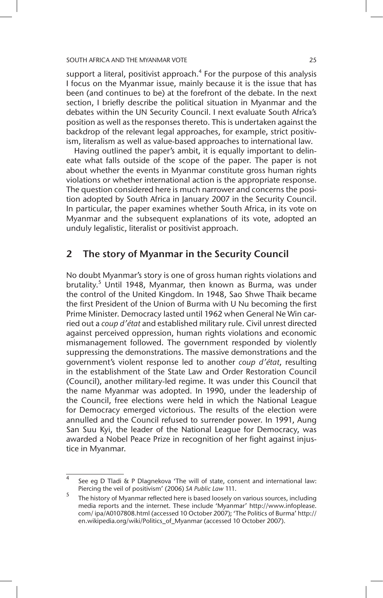support a literal, positivist approach. $4$  For the purpose of this analysis I focus on the Myanmar issue, mainly because it is the issue that has been (and continues to be) at the forefront of the debate. In the next section, I briefly describe the political situation in Myanmar and the debates within the UN Security Council. I next evaluate South Africa's position as well as the responses thereto. This is undertaken against the backdrop of the relevant legal approaches, for example, strict positivism, literalism as well as value-based approaches to international law.

Having outlined the paper's ambit, it is equally important to delineate what falls outside of the scope of the paper. The paper is not about whether the events in Myanmar constitute gross human rights violations or whether international action is the appropriate response. The question considered here is much narrower and concerns the position adopted by South Africa in January 2007 in the Security Council. In particular, the paper examines whether South Africa, in its vote on Myanmar and the subsequent explanations of its vote, adopted an unduly legalistic, literalist or positivist approach.

## 2 The story of Myanmar in the Security Council

No doubt Myanmar's story is one of gross human rights violations and brutality.<sup>5</sup> Until 1948, Myanmar, then known as Burma, was under the control of the United Kingdom. In 1948, Sao Shwe Thaik became the first President of the Union of Burma with U Nu becoming the first Prime Minister. Democracy lasted until 1962 when General Ne Win carried out a *coup d'état* and established military rule. Civil unrest directed against perceived oppression, human rights violations and economic mismanagement followed. The government responded by violently suppressing the demonstrations. The massive demonstrations and the government's violent response led to another *coup d'état*, resulting in the establishment of the State Law and Order Restoration Council (Council), another military-led regime. It was under this Council that the name Myanmar was adopted. In 1990, under the leadership of the Council, free elections were held in which the National League for Democracy emerged victorious. The results of the election were annulled and the Council refused to surrender power. In 1991, Aung San Suu Kyi, the leader of the National League for Democracy, was awarded a Nobel Peace Prize in recognition of her fight against injustice in Myanmar.

See eg D Tladi & P Dlagnekova 'The will of state, consent and international law: Piercing the veil of positivism' (2006) *SA Public Law* 111.

<sup>5</sup> The history of Myanmar reflected here is based loosely on various sources, including media reports and the internet. These include 'Myanmar' http://www.infoplease. com/ ipa/A0107808.html (accessed 10 October 2007); 'The Politics of Burma' http:// en.wikipedia.org/wiki/Politics\_of\_Myanmar (accessed 10 October 2007).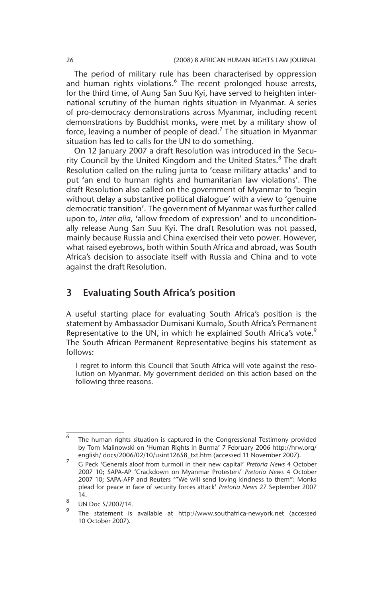The period of military rule has been characterised by oppression and human rights violations.<sup>6</sup> The recent prolonged house arrests, for the third time, of Aung San Suu Kyi, have served to heighten international scrutiny of the human rights situation in Myanmar. A series of pro-democracy demonstrations across Myanmar, including recent demonstrations by Buddhist monks, were met by a military show of force, leaving a number of people of dead.<sup>7</sup> The situation in Myanmar situation has led to calls for the UN to do something.

On 12 January 2007 a draft Resolution was introduced in the Security Council by the United Kingdom and the United States.<sup>8</sup> The draft Resolution called on the ruling junta to 'cease military attacks' and to put 'an end to human rights and humanitarian law violations'. The draft Resolution also called on the government of Myanmar to 'begin without delay a substantive political dialogue' with a view to 'genuine democratic transition'. The government of Myanmar was further called upon to, *inter alia,* 'allow freedom of expression' and to unconditionally release Aung San Suu Kyi. The draft Resolution was not passed, mainly because Russia and China exercised their veto power. However, what raised eyebrows, both within South Africa and abroad, was South Africa's decision to associate itself with Russia and China and to vote against the draft Resolution.

## 3 Evaluating South Africa's position

A useful starting place for evaluating South Africa's position is the statement by Ambassador Dumisani Kumalo, South Africa's Permanent Representative to the UN, in which he explained South Africa's vote.<sup>9</sup> The South African Permanent Representative begins his statement as follows:

I regret to inform this Council that South Africa will vote against the resolution on Myanmar. My government decided on this action based on the following three reasons.

 $6$  The human rights situation is captured in the Congressional Testimony provided by Tom Malinowski on 'Human Rights in Burma' 7 February 2006 http://hrw.org/ english/ docs/2006/02/10/usint12658\_txt.htm (accessed 11 November 2007).

<sup>7</sup> G Peck 'Generals aloof from turmoil in their new capital' *Pretoria News* 4 October 2007 10; SAPA-AP 'Crackdown on Myanmar Protesters' *Pretoria News* 4 October 2007 10; SAPA-AFP and Reuters '"We will send loving kindness to them": Monks plead for peace in face of security forces attack' *Pretoria News* 27 September 2007 14.

 $\frac{8}{9}$  UN Doc S/2007/14.

The statement is available at http://www.southafrica-newyork.net (accessed 10 October 2007).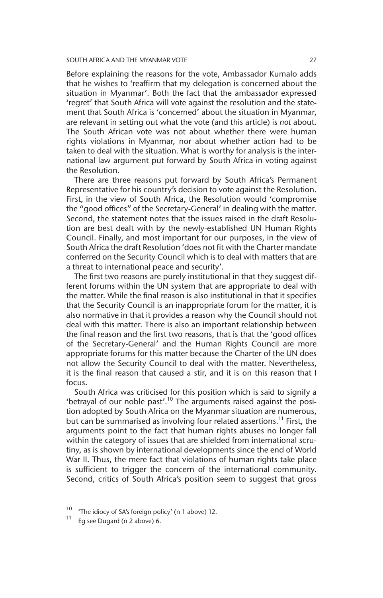Before explaining the reasons for the vote, Ambassador Kumalo adds that he wishes to 'reaffirm that my delegation is concerned about the situation in Myanmar'. Both the fact that the ambassador expressed 'regret' that South Africa will vote against the resolution and the statement that South Africa is 'concerned' about the situation in Myanmar, are relevant in setting out what the vote (and this article) is *not* about. The South African vote was not about whether there were human rights violations in Myanmar, nor about whether action had to be taken to deal with the situation. What is worthy for analysis is the international law argument put forward by South Africa in voting against the Resolution.

There are three reasons put forward by South Africa's Permanent Representative for his country's decision to vote against the Resolution. First, in the view of South Africa, the Resolution would 'compromise the "good offices" of the Secretary-General' in dealing with the matter. Second, the statement notes that the issues raised in the draft Resolution are best dealt with by the newly-established UN Human Rights Council. Finally, and most important for our purposes, in the view of South Africa the draft Resolution 'does not fit with the Charter mandate conferred on the Security Council which is to deal with matters that are a threat to international peace and security'.

The first two reasons are purely institutional in that they suggest different forums within the UN system that are appropriate to deal with the matter. While the final reason is also institutional in that it specifies that the Security Council is an inappropriate forum for the matter, it is also normative in that it provides a reason why the Council should not deal with this matter. There is also an important relationship between the final reason and the first two reasons, that is that the 'good offices of the Secretary-General' and the Human Rights Council are more appropriate forums for this matter because the Charter of the UN does not allow the Security Council to deal with the matter. Nevertheless, it is the final reason that caused a stir, and it is on this reason that I focus.

South Africa was criticised for this position which is said to signify a 'betrayal of our noble past'.<sup>10</sup> The arguments raised against the position adopted by South Africa on the Myanmar situation are numerous, but can be summarised as involving four related assertions.<sup>11</sup> First, the arguments point to the fact that human rights abuses no longer fall within the category of issues that are shielded from international scrutiny, as is shown by international developments since the end of World War II. Thus, the mere fact that violations of human rights take place is sufficient to trigger the concern of the international community. Second, critics of South Africa's position seem to suggest that gross

<sup>&</sup>lt;sup>10</sup> 'The idiocy of SA's foreign policy' (n 1 above) 12.

Eg see Dugard (n 2 above) 6.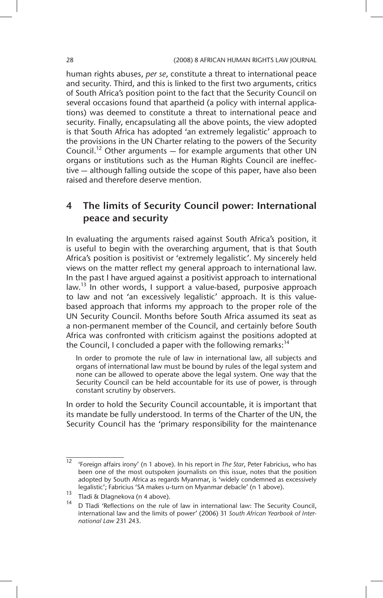human rights abuses, *per se*, constitute a threat to international peace and security. Third, and this is linked to the first two arguments, critics of South Africa's position point to the fact that the Security Council on several occasions found that apartheid (a policy with internal applications) was deemed to constitute a threat to international peace and security. Finally, encapsulating all the above points, the view adopted is that South Africa has adopted 'an extremely legalistic' approach to the provisions in the UN Charter relating to the powers of the Security Council.<sup>12</sup> Other arguments  $-$  for example arguments that other UN organs or institutions such as the Human Rights Council are ineffective — although falling outside the scope of this paper, have also been raised and therefore deserve mention.

## 4 The limits of Security Council power: International peace and security

In evaluating the arguments raised against South Africa's position, it is useful to begin with the overarching argument, that is that South Africa's position is positivist or 'extremely legalistic'. My sincerely held views on the matter reflect my general approach to international law. In the past I have argued against a positivist approach to international law.<sup>13</sup> In other words, I support a value-based, purposive approach to law and not 'an excessively legalistic' approach. It is this valuebased approach that informs my approach to the proper role of the UN Security Council. Months before South Africa assumed its seat as a non-permanent member of the Council, and certainly before South Africa was confronted with criticism against the positions adopted at the Council, I concluded a paper with the following remarks:  $14$ 

In order to promote the rule of law in international law, all subjects and organs of international law must be bound by rules of the legal system and none can be allowed to operate above the legal system. One way that the Security Council can be held accountable for its use of power, is through constant scrutiny by observers.

In order to hold the Security Council accountable, it is important that its mandate be fully understood. In terms of the Charter of the UN, the Security Council has the 'primary responsibility for the maintenance

<sup>12</sup> 'Foreign affairs irony' (n 1 above). In his report in *The Star*, Peter Fabricius, who has been one of the most outspoken journalists on this issue, notes that the position adopted by South Africa as regards Myanmar, is 'widely condemned as excessively legalistic'; Fabricius 'SA makes u-turn on Myanmar debacle' (n 1 above).

<sup>&</sup>lt;sup>13</sup> Tladi & Dlagnekova (n 4 above).

D Tladi 'Reflections on the rule of law in international law: The Security Council, international law and the limits of power' (2006) 31 *South African Yearbook of International Law* 231 243.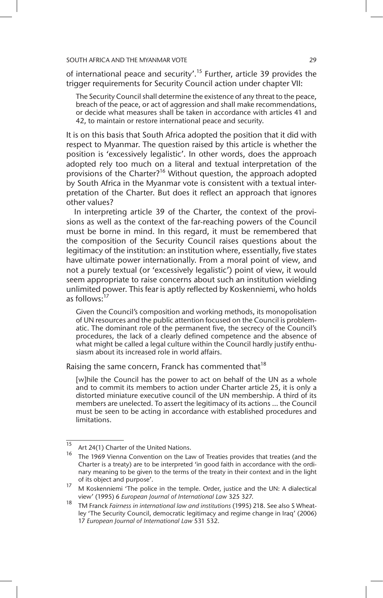of international peace and security'.<sup>15</sup> Further, article 39 provides the trigger requirements for Security Council action under chapter VII:

The Security Council shall determine the existence of any threat to the peace, breach of the peace, or act of aggression and shall make recommendations, or decide what measures shall be taken in accordance with articles 41 and 42, to maintain or restore international peace and security.

It is on this basis that South Africa adopted the position that it did with respect to Myanmar. The question raised by this article is whether the position is 'excessively legalistic'. In other words, does the approach adopted rely too much on a literal and textual interpretation of the provisions of the Charter?<sup>16</sup> Without question, the approach adopted by South Africa in the Myanmar vote is consistent with a textual interpretation of the Charter. But does it reflect an approach that ignores other values?

In interpreting article 39 of the Charter, the context of the provisions as well as the context of the far-reaching powers of the Council must be borne in mind. In this regard, it must be remembered that the composition of the Security Council raises questions about the legitimacy of the institution: an institution where, essentially, five states have ultimate power internationally. From a moral point of view, and not a purely textual (or 'excessively legalistic') point of view, it would seem appropriate to raise concerns about such an institution wielding unlimited power. This fear is aptly reflected by Koskenniemi, who holds as follows: $^{17}$ 

Given the Council's composition and working methods, its monopolisation of UN resources and the public attention focused on the Council is problematic. The dominant role of the permanent five, the secrecy of the Council's procedures, the lack of a clearly defined competence and the absence of what might be called a legal culture within the Council hardly justify enthusiasm about its increased role in world affairs.

Raising the same concern, Franck has commented that $^{18}$ 

[w]hile the Council has the power to act on behalf of the UN as a whole and to commit its members to action under Charter article 25, it is only a distorted miniature executive council of the UN membership. A third of its members are unelected. To assert the legitimacy of its actions … the Council must be seen to be acting in accordance with established procedures and limitations.

<sup>&</sup>lt;sup>15</sup> Art 24(1) Charter of the United Nations.

<sup>&</sup>lt;sup>16</sup> The 1969 Vienna Convention on the Law of Treaties provides that treaties (and the Charter is a treaty) are to be interpreted 'in good faith in accordance with the ordinary meaning to be given to the terms of the treaty in their context and in the light of its object and purpose'.

<sup>17</sup> M Koskenniemi 'The police in the temple. Order, justice and the UN: A dialectical view' (1995) 6 *European Journal of International Law* 325 327.

<sup>18</sup> TM Franck *Fairness in international law and institutions* (1995) 218. See also S Wheatley 'The Security Council, democratic legitimacy and regime change in Iraq' (2006) 17 *European Journal of International Law* 531 532.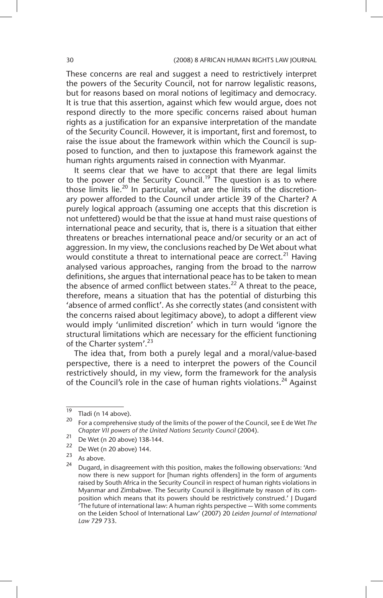These concerns are real and suggest a need to restrictively interpret the powers of the Security Council, not for narrow legalistic reasons, but for reasons based on moral notions of legitimacy and democracy. It is true that this assertion, against which few would argue, does not respond directly to the more specific concerns raised about human rights as a justification for an expansive interpretation of the mandate of the Security Council. However, it is important, first and foremost, to raise the issue about the framework within which the Council is supposed to function, and then to juxtapose this framework against the human rights arguments raised in connection with Myanmar.

It seems clear that we have to accept that there are legal limits to the power of the Security Council.<sup>19</sup> The question is as to where those limits lie.<sup>20</sup> In particular, what are the limits of the discretionary power afforded to the Council under article 39 of the Charter? A purely logical approach (assuming one accepts that this discretion is not unfettered) would be that the issue at hand must raise questions of international peace and security, that is, there is a situation that either threatens or breaches international peace and/or security or an act of aggression. In my view, the conclusions reached by De Wet about what would constitute a threat to international peace are correct.<sup>21</sup> Having analysed various approaches, ranging from the broad to the narrow definitions, she argues that international peace has to be taken to mean the absence of armed conflict between states.<sup>22</sup> A threat to the peace, therefore, means a situation that has the potential of disturbing this 'absence of armed conflict'. As she correctly states (and consistent with the concerns raised about legitimacy above), to adopt a different view would imply 'unlimited discretion' which in turn would 'ignore the structural limitations which are necessary for the efficient functioning of the Charter system'.<sup>23</sup>

The idea that, from both a purely legal and a moral/value-based perspective, there is a need to interpret the powers of the Council restrictively should, in my view, form the framework for the analysis of the Council's role in the case of human rights violations.<sup>24</sup> Against

 $\frac{19}{20}$  Tladi (n 14 above).

<sup>20</sup> For a comprehensive study of the limits of the power of the Council, see E de Wet *The Chapter VII powers of the United Nations Security Council* (2004).

<sup>&</sup>lt;sup>21</sup> De Wet (n 20 above) 138-144.

<sup>&</sup>lt;sup>22</sup> De Wet (n 20 above) 144.

 $\frac{23}{24}$  As above.

Dugard, in disagreement with this position, makes the following observations: 'And now there is new support for [human rights offenders] in the form of arguments raised by South Africa in the Security Council in respect of human rights violations in Myanmar and Zimbabwe. The Security Council is illegitimate by reason of its composition which means that its powers should be restrictively construed.' J Dugard 'The future of international law: A human rights perspective — With some comments on the Leiden School of International Law' (2007) 20 *Leiden Journal of International Law* 729 733.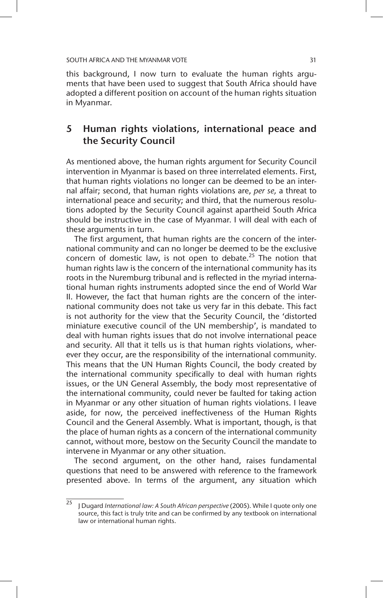this background, I now turn to evaluate the human rights arguments that have been used to suggest that South Africa should have adopted a different position on account of the human rights situation in Myanmar.

## 5 Human rights violations, international peace and the Security Council

As mentioned above, the human rights argument for Security Council intervention in Myanmar is based on three interrelated elements. First, that human rights violations no longer can be deemed to be an internal affair; second, that human rights violations are, *per se,* a threat to international peace and security; and third, that the numerous resolutions adopted by the Security Council against apartheid South Africa should be instructive in the case of Myanmar. I will deal with each of these arguments in turn.

The first argument, that human rights are the concern of the international community and can no longer be deemed to be the exclusive concern of domestic law, is not open to debate.<sup>25</sup> The notion that human rights law is the concern of the international community has its roots in the Nuremburg tribunal and is reflected in the myriad international human rights instruments adopted since the end of World War II. However, the fact that human rights are the concern of the international community does not take us very far in this debate. This fact is not authority for the view that the Security Council, the 'distorted miniature executive council of the UN membership', is mandated to deal with human rights issues that do not involve international peace and security. All that it tells us is that human rights violations, wherever they occur, are the responsibility of the international community. This means that the UN Human Rights Council, the body created by the international community specifically to deal with human rights issues, or the UN General Assembly, the body most representative of the international community, could never be faulted for taking action in Myanmar or any other situation of human rights violations. I leave aside, for now, the perceived ineffectiveness of the Human Rights Council and the General Assembly. What is important, though, is that the place of human rights as a concern of the international community cannot, without more, bestow on the Security Council the mandate to intervene in Myanmar or any other situation.

The second argument, on the other hand, raises fundamental questions that need to be answered with reference to the framework presented above. In terms of the argument, any situation which

<sup>25</sup> J Dugard *International law: A South African perspective* (2005). While I quote only one source, this fact is truly trite and can be confirmed by any textbook on international law or international human rights.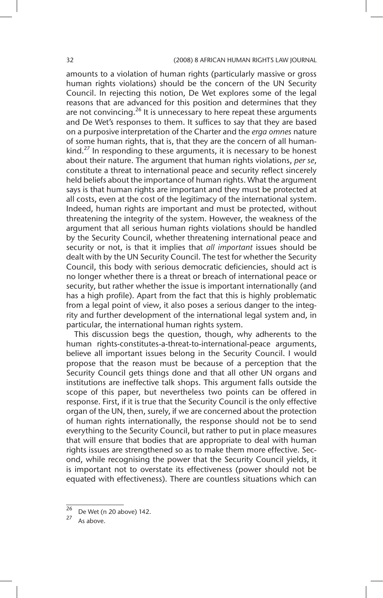amounts to a violation of human rights (particularly massive or gross human rights violations) should be the concern of the UN Security Council. In rejecting this notion, De Wet explores some of the legal reasons that are advanced for this position and determines that they are not convincing.<sup>26</sup> It is unnecessary to here repeat these arguments and De Wet's responses to them. It suffices to say that they are based on a purposive interpretation of the Charter and the *erga omnes* nature of some human rights, that is, that they are the concern of all humankind.<sup>27</sup> In responding to these arguments, it is necessary to be honest about their nature. The argument that human rights violations, *per se*, constitute a threat to international peace and security reflect sincerely held beliefs about the importance of human rights. What the argument says is that human rights are important and they must be protected at all costs, even at the cost of the legitimacy of the international system. Indeed, human rights are important and must be protected, without threatening the integrity of the system. However, the weakness of the argument that all serious human rights violations should be handled by the Security Council, whether threatening international peace and security or not, is that it implies that *all important* issues should be dealt with by the UN Security Council. The test for whether the Security Council, this body with serious democratic deficiencies, should act is no longer whether there is a threat or breach of international peace or security, but rather whether the issue is important internationally (and has a high profile). Apart from the fact that this is highly problematic from a legal point of view, it also poses a serious danger to the integrity and further development of the international legal system and, in particular, the international human rights system.

This discussion begs the question, though, why adherents to the human rights-constitutes-a-threat-to-international-peace arguments, believe all important issues belong in the Security Council. I would propose that the reason must be because of a perception that the Security Council gets things done and that all other UN organs and institutions are ineffective talk shops. This argument falls outside the scope of this paper, but nevertheless two points can be offered in response. First, if it is true that the Security Council is the only effective organ of the UN, then, surely, if we are concerned about the protection of human rights internationally, the response should not be to send everything to the Security Council, but rather to put in place measures that will ensure that bodies that are appropriate to deal with human rights issues are strengthened so as to make them more effective. Second, while recognising the power that the Security Council yields, it is important not to overstate its effectiveness (power should not be equated with effectiveness). There are countless situations which can

 $\frac{26}{27}$  De Wet (n 20 above) 142.

As above.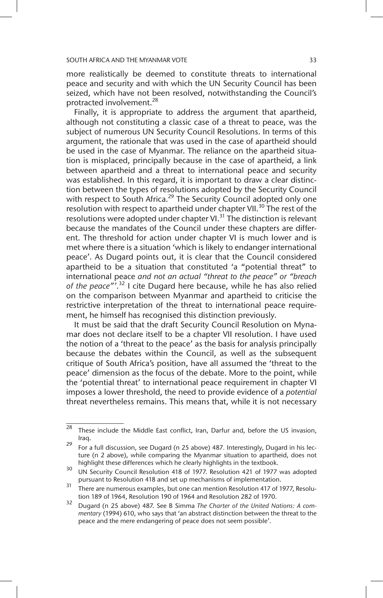more realistically be deemed to constitute threats to international peace and security and with which the UN Security Council has been seized, which have not been resolved, notwithstanding the Council's protracted involvement.<sup>28</sup>

Finally, it is appropriate to address the argument that apartheid, although not constituting a classic case of a threat to peace, was the subject of numerous UN Security Council Resolutions. In terms of this argument, the rationale that was used in the case of apartheid should be used in the case of Myanmar. The reliance on the apartheid situation is misplaced, principally because in the case of apartheid, a link between apartheid and a threat to international peace and security was established. In this regard, it is important to draw a clear distinction between the types of resolutions adopted by the Security Council with respect to South Africa.<sup>29</sup> The Security Council adopted only one resolution with respect to apartheid under chapter VII.<sup>30</sup> The rest of the resolutions were adopted under chapter VI. $^{31}$  The distinction is relevant because the mandates of the Council under these chapters are different. The threshold for action under chapter VI is much lower and is met where there is a situation 'which is likely to endanger international peace'. As Dugard points out, it is clear that the Council considered apartheid to be a situation that constituted 'a "potential threat" to international peace *and not an actual "threat to the peace" or "breach of the peace"'*. 32 I cite Dugard here because, while he has also relied on the comparison between Myanmar and apartheid to criticise the restrictive interpretation of the threat to international peace requirement, he himself has recognised this distinction previously.

It must be said that the draft Security Council Resolution on Mynamar does not declare itself to be a chapter VII resolution. I have used the notion of a 'threat to the peace' as the basis for analysis principally because the debates within the Council, as well as the subsequent critique of South Africa's position, have all assumed the 'threat to the peace' dimension as the focus of the debate. More to the point, while the 'potential threat' to international peace requirement in chapter VI imposes a lower threshold, the need to provide evidence of a *potential* threat nevertheless remains. This means that, while it is not necessary

 $28$  These include the Middle East conflict, Iran, Darfur and, before the US invasion, Iraq.

<sup>29</sup> For a full discussion, see Dugard (n 25 above) 487*.* Interestingly, Dugard in his lecture (n 2 above), while comparing the Myanmar situation to apartheid, does not highlight these differences which he clearly highlights in the textbook.

<sup>30</sup> UN Security Council Resolution 418 of 1977. Resolution 421 of 1977 was adopted pursuant to Resolution 418 and set up mechanisms of implementation.

<sup>&</sup>lt;sup>31</sup> There are numerous examples, but one can mention Resolution 417 of 1977, Resolution 189 of 1964, Resolution 190 of 1964 and Resolution 282 of 1970.

<sup>32</sup> Dugard (n 25 above) 487. See B Simma *The Charter of the United Nations: A commentary* (1994) 610, who says that 'an abstract distinction between the threat to the peace and the mere endangering of peace does not seem possible'.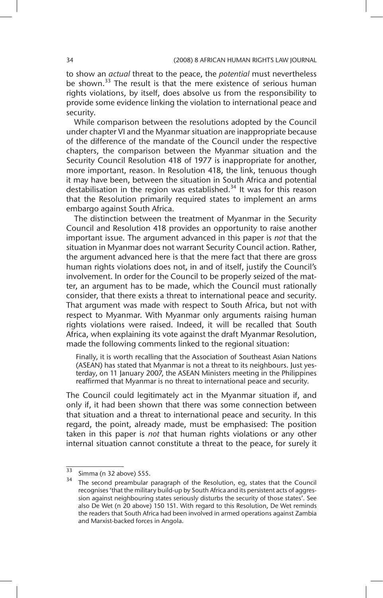to show an *actual* threat to the peace, the *potential* must nevertheless be shown.<sup>33</sup> The result is that the mere existence of serious human rights violations, by itself, does absolve us from the responsibility to provide some evidence linking the violation to international peace and security.

While comparison between the resolutions adopted by the Council under chapter VI and the Myanmar situation are inappropriate because of the difference of the mandate of the Council under the respective chapters, the comparison between the Myanmar situation and the Security Council Resolution 418 of 1977 is inappropriate for another, more important, reason. In Resolution 418, the link, tenuous though it may have been, between the situation in South Africa and potential destabilisation in the region was established.<sup>34</sup> It was for this reason that the Resolution primarily required states to implement an arms embargo against South Africa.

The distinction between the treatment of Myanmar in the Security Council and Resolution 418 provides an opportunity to raise another important issue. The argument advanced in this paper is *not* that the situation in Myanmar does not warrant Security Council action. Rather, the argument advanced here is that the mere fact that there are gross human rights violations does not, in and of itself, justify the Council's involvement. In order for the Council to be properly seized of the matter, an argument has to be made, which the Council must rationally consider, that there exists a threat to international peace and security. That argument was made with respect to South Africa, but not with respect to Myanmar. With Myanmar only arguments raising human rights violations were raised. Indeed, it will be recalled that South Africa, when explaining its vote against the draft Myanmar Resolution, made the following comments linked to the regional situation:

Finally, it is worth recalling that the Association of Southeast Asian Nations (ASEAN) has stated that Myanmar is not a threat to its neighbours. Just yesterday, on 11 January 2007, the ASEAN Ministers meeting in the Philippines reaffirmed that Myanmar is no threat to international peace and security.

The Council could legitimately act in the Myanmar situation if, and only if, it had been shown that there was some connection between that situation and a threat to international peace and security. In this regard, the point, already made, must be emphasised: The position taken in this paper is *not* that human rights violations or any other internal situation cannot constitute a threat to the peace, for surely it

 $\overline{33}$  Simma (n 32 above) 555.

 $34$  The second preambular paragraph of the Resolution, eg, states that the Council recognises 'that the military build-up by South Africa and its persistent acts of aggression against neighbouring states seriously disturbs the security of those states'. See also De Wet (n 20 above) 150 151. With regard to this Resolution, De Wet reminds the readers that South Africa had been involved in armed operations against Zambia and Marxist-backed forces in Angola.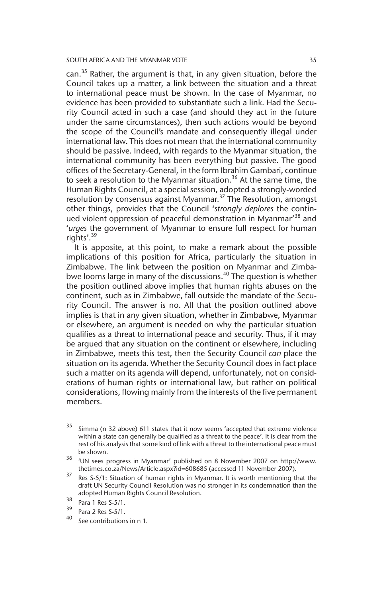can. $35$  Rather, the argument is that, in any given situation, before the Council takes up a matter, a link between the situation and a threat to international peace must be shown. In the case of Myanmar, no evidence has been provided to substantiate such a link. Had the Security Council acted in such a case (and should they act in the future under the same circumstances), then such actions would be beyond the scope of the Council's mandate and consequently illegal under international law. This does not mean that the international community should be passive. Indeed, with regards to the Myanmar situation, the international community has been everything but passive. The good offices of the Secretary-General, in the form Ibrahim Gambari, continue to seek a resolution to the Myanmar situation.<sup>36</sup> At the same time, the Human Rights Council, at a special session, adopted a strongly-worded resolution by consensus against Myanmar.37 The Resolution, amongst other things, provides that the Council '*strongly deplores* the continued violent oppression of peaceful demonstration in Myanmar<sup>38</sup> and '*urges* the government of Myanmar to ensure full respect for human rights'.<sup>39</sup>

It is apposite, at this point, to make a remark about the possible implications of this position for Africa, particularly the situation in Zimbabwe. The link between the position on Myanmar and Zimbabwe looms large in many of the discussions.<sup>40</sup> The question is whether the position outlined above implies that human rights abuses on the continent, such as in Zimbabwe, fall outside the mandate of the Security Council. The answer is no. All that the position outlined above implies is that in any given situation, whether in Zimbabwe, Myanmar or elsewhere, an argument is needed on why the particular situation qualifies as a threat to international peace and security. Thus, if it may be argued that any situation on the continent or elsewhere, including in Zimbabwe, meets this test, then the Security Council *can* place the situation on its agenda. Whether the Security Council does in fact place such a matter on its agenda will depend, unfortunately, not on considerations of human rights or international law, but rather on political considerations, flowing mainly from the interests of the five permanent members.

 $\frac{35}{35}$  Simma (n 32 above) 611 states that it now seems 'accepted that extreme violence within a state can generally be qualified as a threat to the peace'. It is clear from the rest of his analysis that some kind of link with a threat to the international peace must be shown.

<sup>36</sup> 'UN sees progress in Myanmar' published on 8 November 2007 on http://www. thetimes.co.za/News/Article.aspx?id=608685 (accessed 11 November 2007).

<sup>&</sup>lt;sup>37</sup> Res S-5/1: Situation of human rights in Myanmar. It is worth mentioning that the draft UN Security Council Resolution was no stronger in its condemnation than the adopted Human Rights Council Resolution.

 $\frac{38}{39}$  Para 1 Res S-5/1.

 $\frac{39}{40}$  Para 2 Res S-5/1.

See contributions in n 1.